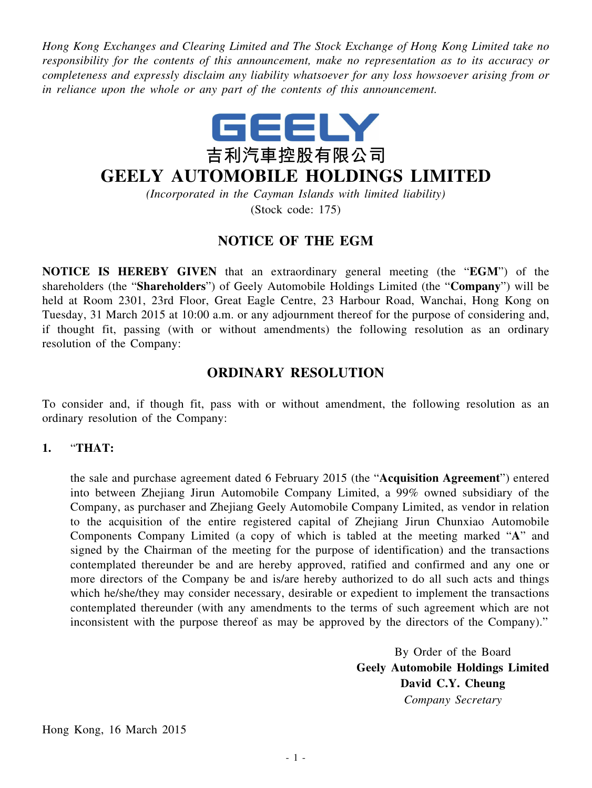*Hong Kong Exchanges and Clearing Limited and The Stock Exchange of Hong Kong Limited take no responsibility for the contents of this announcement, make no representation as to its accuracy or completeness and expressly disclaim any liability whatsoever for any loss howsoever arising from or in reliance upon the whole or any part of the contents of this announcement.*



# **GEELY AUTOMOBILE HOLDINGS LIMITED**

*(Incorporated in the Cayman Islands with limited liability)* (Stock code: 175)

### **NOTICE OF THE EGM**

**NOTICE IS HEREBY GIVEN** that an extraordinary general meeting (the "**EGM**") of the shareholders (the "**Shareholders**") of Geely Automobile Holdings Limited (the "**Company**") will be held at Room 2301, 23rd Floor, Great Eagle Centre, 23 Harbour Road, Wanchai, Hong Kong on Tuesday, 31 March 2015 at 10:00 a.m. or any adjournment thereof for the purpose of considering and, if thought fit, passing (with or without amendments) the following resolution as an ordinary resolution of the Company:

## **ORDINARY RESOLUTION**

To consider and, if though fit, pass with or without amendment, the following resolution as an ordinary resolution of the Company:

#### **1.** "**THAT:**

the sale and purchase agreement dated 6 February 2015 (the "**Acquisition Agreement**") entered into between Zhejiang Jirun Automobile Company Limited, a 99% owned subsidiary of the Company, as purchaser and Zhejiang Geely Automobile Company Limited, as vendor in relation to the acquisition of the entire registered capital of Zhejiang Jirun Chunxiao Automobile Components Company Limited (a copy of which is tabled at the meeting marked "**A**" and signed by the Chairman of the meeting for the purpose of identification) and the transactions contemplated thereunder be and are hereby approved, ratified and confirmed and any one or more directors of the Company be and is/are hereby authorized to do all such acts and things which he/she/they may consider necessary, desirable or expedient to implement the transactions contemplated thereunder (with any amendments to the terms of such agreement which are not inconsistent with the purpose thereof as may be approved by the directors of the Company)."

> By Order of the Board **Geely Automobile Holdings Limited David C.Y. Cheung** *Company Secretary*

Hong Kong, 16 March 2015